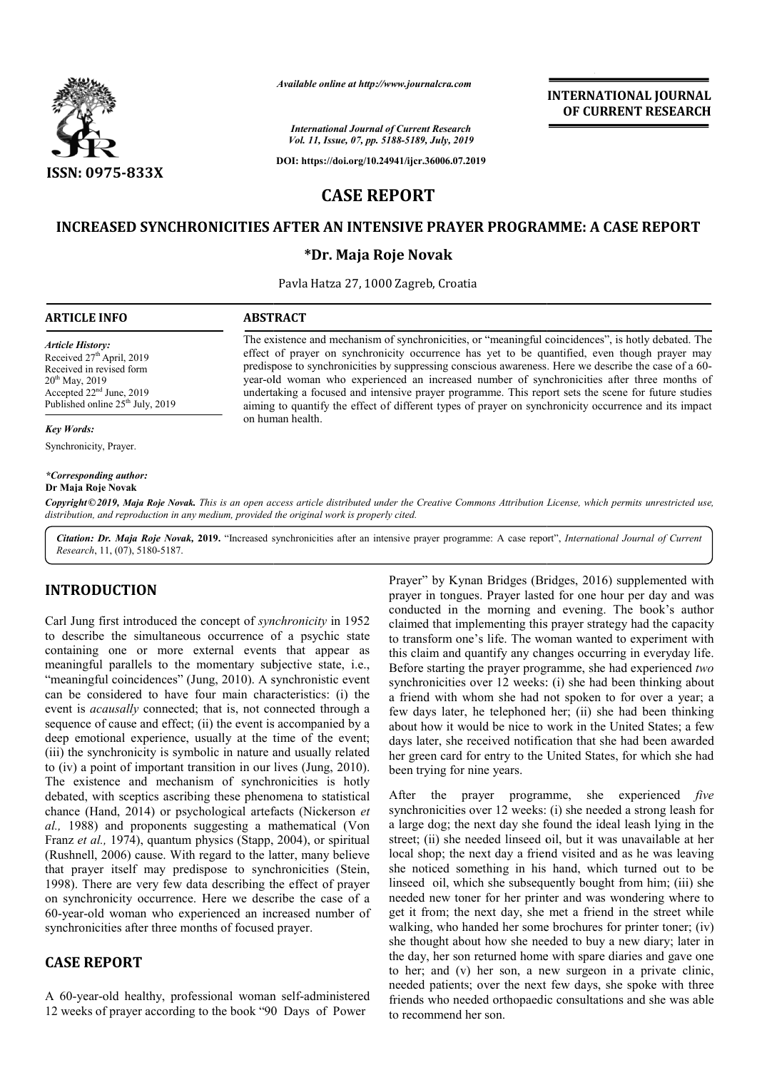

*International Journal of Current Research Vol. 11, Issue, 07, pp. 5188-5189, July, 2019*

**DOI: https://doi.org/10.24941/ijcr.36006.07.2019**

# **INTERNATIONAL JOURNAL OF CURRENT RESEARCH**

**CASE REPORT**

## **INCREASED SYNCHRONICITIES AFTER AN INTENSIVE PRAYER PROGRAMME: A CASE REPORT PROGRAMME:**

## **\*Dr. Maja Roje Novak**

Pavla Hatza 27, 1000 Zagreb, Croatia

The existence and mechanism of synchronicities, or "meaningful coincidences", is hotly debated. The effect of prayer on synchronicity occurrence has yet to be quantified, even though prayer may predispose to synchronicities by suppressing conscious awareness. Here we describe the case of a 60 year-old woman who experienced an increased number of synchronicities after three months of undertaking a focused and intensive prayer programme. This report sets the scene for future studies year-old woman who experienced an increased number of synchronicities after three months of undertaking a focused and intensive prayer programme. This report sets the scene for future studies aiming to quantify the effect

The existence and mechanism of synchronicities, or "meaningful coincidences", is hotly debated. The effect of prayer on synchronicity occurrence has yet to be quantified, even though prayer may predispose to synchronicitie

#### **ARTICLE INFO ABSTRACT**

on human health.

*Article History:*

# Received  $27<sup>th</sup>$  April, 2019 Received in revised form

20<sup>th</sup> May, 2019 Accepted 22nd June, 2019 Published online 25<sup>th</sup> July, 2019

*Key Words:*

Synchronicity, Prayer.

# *\*Corresponding author:*

**Dr Maja Roje Novak**

Copyright©2019, Maja Roje Novak. This is an open access article distributed under the Creative Commons Attribution License, which permits unrestricted use, *distribution, and reproduction in any medium, provided the original work is properly cited.* Available online at http://www.journalcra.com<br>
International Journal of Current Research<br>
Vol. 11, Issue, 07, pp. 5188-5189, July, 2019<br>
DOI: https://doi.org/10.24941/ijcr.36006.07.2<br>
CASE REPORT<br>
TITIES AFTER AN INTENSIVE

Citation: Dr. Maja Roje Novak, 2019. "Increased synchronicities after an intensive prayer programme: A case report", *International Journal of Current Research*, 11, (07), 5180-5187.

# **INTRODUCTION**

Carl Jung first introduced the concept of *synchronicity* in 1952 to describe the simultaneous occurrence of a psychic state containing one or more external events that appear as meaningful parallels to the momentary subjective state, i.e., "meaningful coincidences" (Jung, 2010). A synchronistic event can be considered to have four main characteristics: (i) the event is *acausally* connected; that is, not connected through a sequence of cause and effect; (ii) the event is accompanied by a deep emotional experience, usually at the time of the event; (iii) the synchronicity is symbolic in nature and usually related to (iv) a point of important transition in our lives (Jung, 2010). The existence and mechanism of synchronicities is hotly debated, with sceptics ascribing these phenomena to statistical chance (Hand, 2014) or psychological artefacts (Nickerson *et al.,* 1988) and proponents suggesting a mathematical (Von Franz *et al.*, 1974), quantum physics (Stapp, 2004), or spiritual (Rushnell, 2006) cause. With regard to the latter, many believe that prayer itself may predispose to synchronicities (Stein, 1998). There are very few data describing the effect of prayer on synchronicity occurrence. Here we describe the case of a 60-year-old woman who experienced an increased number of synchronicities after three months of focused prayer. The 40-year-old woman who experienced an increased number of<br>
synchronicities after three months of focused prayer.<br> **CASE REPORT**<br>
A 60-year-old healthy, professional woman self-administered sidered to have four main characteristics: (i) the *uusally* connected; that is, not connected through a cause and effect; (ii) the event is accompanied by a onal experience, usually at the time of the event; chronicity is

# **CASE REPORT**

12 weeks of prayer according to the book "90 Days of Power

Prayer" by Kynan Bridges (Bridges, 2016) supplemented with prayer in tongues. Prayer lasted for one hour per day and was prayer in tongues. Prayer lasted for one hour per day and was conducted in the morning and evening. The book's author claimed that implementing this prayer strategy had the capacity to transform one's life. The woman wanted to experiment with this claim and quantify any changes occurring in everyday life. Before starting the prayer programme, she had experienced two synchronicities over 12 weeks: (i) she had been thinking about a friend with whom she had not spoken to for over a year; a few days later, he telephoned her; (ii) she had been thinking about how it would be nice to work in the United States; a few days later, she received notification that she had been awarded her green card for entry to the United States, for which she had been trying for nine years. a friend with whom she had not spoken to for over a year; a few days later, he telephoned her; (ii) she had been thinking about how it would be nice to work in the United States; a few days later, she received notification her with three

synchronicities over 12 weeks: (i) she needed a strong leash for a large dog; the next day she found the ideal leash lying in the street; (ii) she needed linseed oil, but it was unavailable at her local shop; the next day a friend visited and as he was leaving she noticed something in his hand, which turned out to be linseed oil, which she subsequently bought from him; (iii) she needed new toner for her printer and was wondering whe get it from; the next day, she met a friend in the street while walking, who handed her some brochures for printer toner; (iv) she thought about how she needed to buy a new diary; later in get it from; the next day, she met a friend in the street while walking, who handed her some brochures for printer toner; (iv) she thought about how she needed to buy a new diary; later in the day, her son returned home wi to her; and (v) her son, a new surgeon in a private clinic, needed patients; over the next few days, she spoke with three friends who needed orthopaedic consultations and she was able to recommend her son. ies over 12 weeks: (i) she needed a strong leash for<br>the next day she found the ideal leash lying in the<br>e needed linseed oil, but it was unavailable at her he next day a friend visited and as he was leaving<br>something in his hand, which turned out to be<br>which she subsequently bought from him; (iii) she<br>toner for her printer and was wondering where to